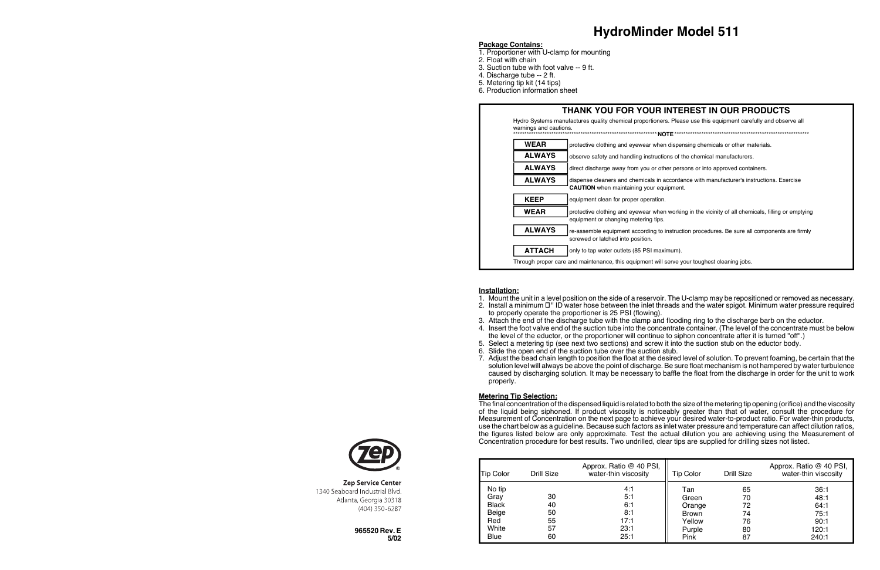**965520 Rev. E 5/02**

#### **Package Contains:**

- 1. Proportioner with U-clamp for mounting
- 2. Float with chain
- 3. Suction tube with foot valve -- 9 ft.
- 4. Discharge tube -- 2 ft.
- 5. Metering tip kit (14 tips)
- 6. Production information sheet

## **HydroMinder Model 511**

#### protective clothing and eyewear when dispensing chemicals or other materials. observe safety and handling instructions of the chemical manufacturers. direct discharge away from you or other persons or into approved containers. dispense cleaners and chemicals in accordance with manufacturer's instructions. Exercise **CAUTION** when maintaining your equipment. equipment clean for proper operation. protective clothing and eyewear when working in the vicinity of all chemicals, filling or emptying equipment or changing metering tips. re-assemble equipment according to instruction procedures. Be sure all components are firmly screwed or latched into position. only to tap water outlets (85 PSI maximum). **WEAR THANK YOU FOR YOUR INTEREST IN OUR PRODUCTS** Hydro Systems manufactures quality chemical proportioners. Please use this equipment carefully and observe all warnings and cautions. \*\*\*\*\*\*\*\*\*\*\*\*\*\*\*\*\*\*\*\*\*\*\*\*\*\*\*\*\*\*\*\*\*\*\*\*\*\*\*\*\*\*\*\*\*\*\*\*\*\*\*\*\*\*\*\*\*\*\*\*\*\*\*\***NOTE**\*\*\*\*\*\*\*\*\*\*\*\*\*\*\*\*\*\*\*\*\*\*\*\*\*\*\*\*\*\*\*\*\*\*\*\*\*\*\*\*\*\*\*\*\*\*\*\*\*\*\*\*\*\*\*\*\*\*\*\* **ALWAYS ALWAYS ALWAYS KEEP WEAR ALWAYS ATTACH** Through proper care and maintenance, this equipment will serve your toughest cleaning jobs.

#### **Installation:**

1. Mount the unit in a level position on the side of a reservoir. The U-clamp may be repositioned or removed as necessary. 2. Install a minimum ½" ID water hose between the inlet threads and the water spigot. Minimum water pressure required

4. Insert the foot valve end of the suction tube into the concentrate container. (The level of the concentrate must be below

- 
- to properly operate the proportioner is 25 PSI (flowing).
- 3. Attach the end of the discharge tube with the clamp and flooding ring to the discharge barb on the eductor.
- 
- the level of the eductor, or the proportioner will continue to siphon concentrate after it is turned "off".)
- 5. Select a metering tip (see next two sections) and screw it into the suction stub on the eductor body.
- 6. Slide the open end of the suction tube over the suction stub.
- properly.

7. Adjust the bead chain length to position the float at the desired level of solution. To prevent foaming, be certain that the solution level will always be above the point of discharge. Be sure float mechanism is not hampered by water turbulence caused by discharging solution. It may be necessary to baffle the float from the discharge in order for the unit to work

#### **Metering Tip Selection:**

The final concentration of the dispensed liquid is related to both the size of the metering tip opening (orifice) and the viscosity of the liquid being siphoned. If product viscosity is noticeably greater than that of water, consult the procedure for Measurement of Concentration on the next page to achieve your desired water-to-product ratio. For water-thin products, use the chart below as a guideline. Because such factors as inlet water pressure and temperature can affect dilution ratios, the figures listed below are only approximate. Test the actual dilution you are achieving using the Measurement of Concentration procedure for best results. Two undrilled, clear tips are supplied for drilling sizes not listed.

| <b>Tip Color</b>                                                | Drill Size                       | Approx. Ratio @ 40 PSI,<br>water-thin viscosity  | <b>Tip Color</b>                                                   | Drill Size                             | Approx. Ratio @ 40 PSI,<br>water-thin viscosity        |
|-----------------------------------------------------------------|----------------------------------|--------------------------------------------------|--------------------------------------------------------------------|----------------------------------------|--------------------------------------------------------|
| No tip<br>Grav<br><b>Black</b><br>Beige<br>Red<br>White<br>Blue | 30<br>40<br>50<br>55<br>57<br>60 | 4:1<br>5:1<br>6:1<br>8:1<br>17:1<br>23:1<br>25:1 | Tan<br>Green<br>Orange<br><b>Brown</b><br>Yellow<br>Purple<br>Pink | 65<br>70<br>72<br>74<br>76<br>80<br>87 | 36:1<br>48:1<br>64:1<br>75:1<br>90:1<br>120:1<br>240:1 |



**Zep Service Center** 1340 Seaboard Industrial Blvd. Atlanta, Georgia 30318 (404) 350-6287